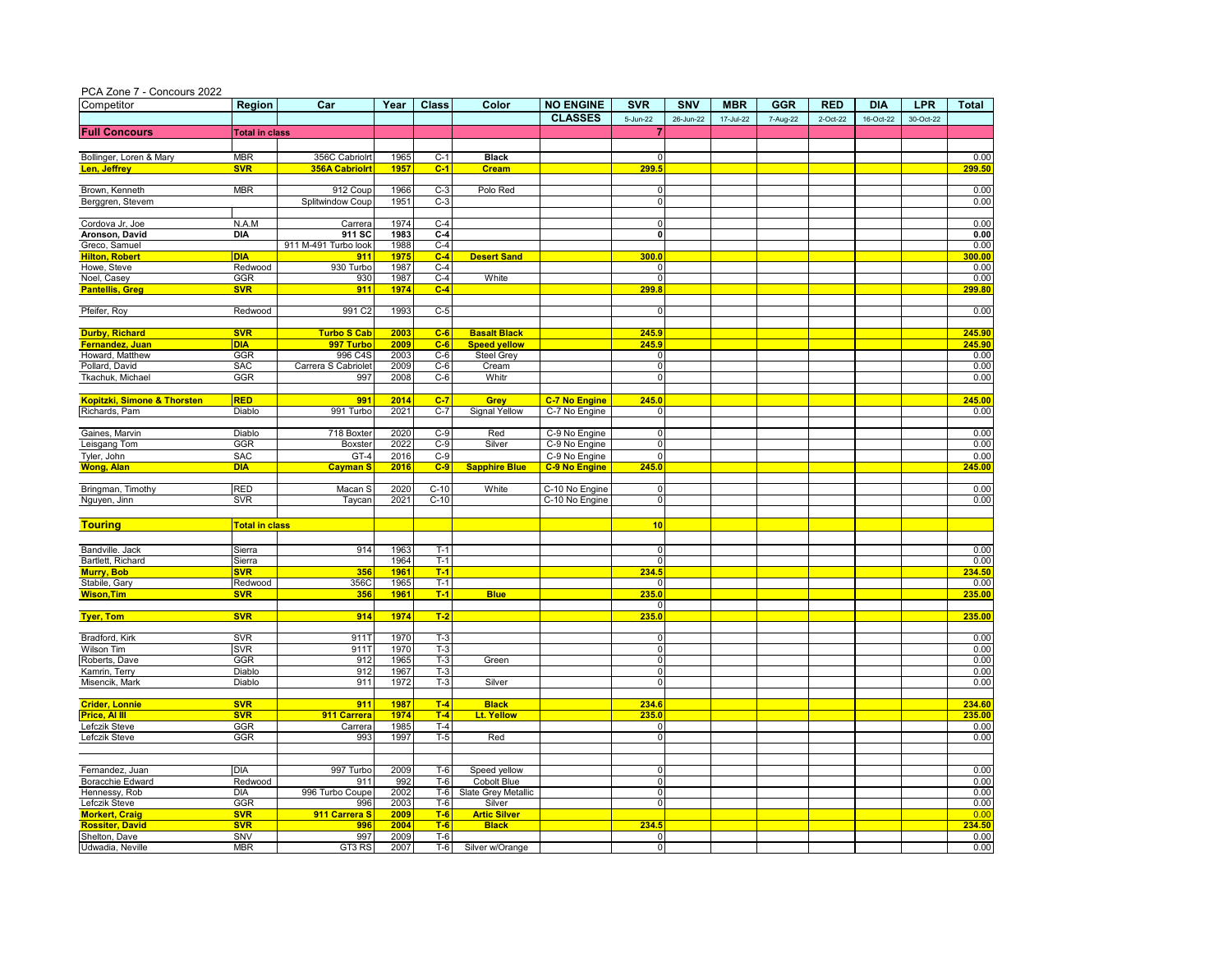| Competitor                   | <b>Region</b>         | Car                   | Year         | <b>Class</b>   | Color                | <b>NO ENGINE</b>     | <b>SVR</b>           | SNV       | <b>MBR</b> | <b>GGR</b> | <b>RED</b> | <b>DIA</b> | <b>LPR</b> | <b>Total</b> |
|------------------------------|-----------------------|-----------------------|--------------|----------------|----------------------|----------------------|----------------------|-----------|------------|------------|------------|------------|------------|--------------|
|                              |                       |                       |              |                |                      | <b>CLASSES</b>       | 5-Jun-22             | 26-Jun-22 | 17-Jul-22  | 7-Aug-22   | 2-Oct-22   | 16-Oct-22  | 30-Oct-22  |              |
| <b>Full Concours</b>         | <b>Total in class</b> |                       |              |                |                      |                      |                      |           |            |            |            |            |            |              |
|                              |                       |                       |              |                |                      |                      |                      |           |            |            |            |            |            |              |
| Bollinger, Loren & Mary      | <b>MBR</b>            | 356C Cabriolrt        | 1965         | C-1            | <b>Black</b>         |                      | $\mathbf 0$          |           |            |            |            |            |            | 0.00         |
| Len, Jeffrey                 | <b>SVR</b>            | <b>356A Cabriolrt</b> | 1957         | $C-1$          | <b>Cream</b>         |                      | 299.5                |           |            |            |            |            |            | 299.5        |
|                              |                       |                       |              |                |                      |                      |                      |           |            |            |            |            |            |              |
| Brown, Kenneth               | <b>MBR</b>            | 912 Coup              | 1966         | $C-3$          | Polo Red             |                      | $\mathbf 0$          |           |            |            |            |            |            | 0.00         |
| Berggren, Stevem             |                       | Splitwindow Coup      | 1951         | $C-3$          |                      |                      | $\mathbf 0$          |           |            |            |            |            |            | 0.00         |
|                              |                       |                       |              |                |                      |                      |                      |           |            |            |            |            |            |              |
| Cordova Jr, Joe              | N.A.M                 | Carrera               | 1974         | $C-4$          |                      |                      | $\mathbf 0$          |           |            |            |            |            |            | 0.00         |
| Aronson, David               | <b>DIA</b>            | 911 SC                | 1983         | $C-4$          |                      |                      | $\mathbf 0$          |           |            |            |            |            |            | 0.00         |
| Greco, Samuel                |                       | 911 M-491 Turbo look  | 1988         | $C-4$          |                      |                      |                      |           |            |            |            |            |            | 0.00         |
| <b>Hilton, Robert</b>        | <b>DIA</b>            | 911                   | 1975         | $C-4$<br>$C-4$ | <b>Desert Sand</b>   |                      | 300.0<br>$\Omega$    |           |            |            |            |            |            | 300.0        |
| Howe, Steve<br>Noel, Casey   | Redwood<br>GGR        | 930 Turbo<br>930      | 1987<br>1987 | $C-4$          | White                |                      | $\mathbf 0$          |           |            |            |            |            |            | 0.00<br>0.00 |
| <b>Pantellis, Greg</b>       | <b>SVR</b>            | 911                   | 1974         | $C-4$          |                      |                      | 299.8                |           |            |            |            |            |            | 299.8        |
|                              |                       |                       |              |                |                      |                      |                      |           |            |            |            |            |            |              |
| Pfeifer, Roy                 | Redwood               | 991 C <sub>2</sub>    | 1993         | $C-5$          |                      |                      | ō                    |           |            |            |            |            |            | 0.00         |
|                              |                       |                       |              |                |                      |                      |                      |           |            |            |            |            |            |              |
| <b>Durby, Richard</b>        | <b>SVR</b>            | <b>Turbo S Cab</b>    | 2003         | $C-6$          | <b>Basalt Black</b>  |                      | 245.9                |           |            |            |            |            |            | 245.90       |
| <mark>Fernandez. Juan</mark> | <b>DIA</b>            | 997 Turbo             | 2009         | $C-6$          | <b>Speed yellow</b>  |                      | 245.9                |           |            |            |            |            |            | 245.90       |
| Howard, Matthew              | GGR                   | 996 C4S               | 2003         | $C-6$          | Steel Grey           |                      | $\mathbf 0$          |           |            |            |            |            |            | 0.00         |
| Pollard, David               | <b>SAC</b>            | Carrera S Cabriolet   | 2009         | $C-6$          | Cream                |                      | ō                    |           |            |            |            |            |            | 0.00         |
| Tkachuk, Michael             | GGR                   | 997                   | 2008         | $C-6$          | Whitr                |                      | $\mathbf 0$          |           |            |            |            |            |            | 0.00         |
|                              |                       |                       |              |                |                      |                      |                      |           |            |            |            |            |            |              |
| Kopitzki, Simone & Thorsten  | <b>RED</b>            | 991                   | 2014         | $C-7$          | Grey                 | <b>C-7 No Engine</b> | 245.0                |           |            |            |            |            |            | 245.00       |
| Richards, Pam                | Diablo                | 991 Turbo             | 2021         | $C-7$          | <b>Signal Yellow</b> | C-7 No Engine        | $\Omega$             |           |            |            |            |            |            | 0.00         |
|                              |                       |                       |              |                |                      |                      |                      |           |            |            |            |            |            |              |
| Gaines, Marvin               | Diablo                | 718 Boxter            | 2020         | $C-9$          | Red                  | C-9 No Engine        | $\mathbf 0$          |           |            |            |            |            |            | 0.00         |
| Leisgang Tom                 | <b>GGR</b>            | Boxster               | 2022         | $C-9$          | Silver               | C-9 No Engine        | ō                    |           |            |            |            |            |            | 0.00         |
| Tyler, John                  | <b>SAC</b>            | GT-4                  | 2016         | $C-9$          |                      | C-9 No Engine        | $\mathbf 0$          |           |            |            |            |            |            | 0.00         |
| <b>Wong, Alan</b>            | <b>DIA</b>            | <b>Cayman S</b>       | 2016         | $C-9$          | <b>Sapphire Blue</b> | <b>C-9 No Engine</b> | 245.0                |           |            |            |            |            |            | 245.00       |
|                              |                       |                       |              |                |                      |                      |                      |           |            |            |            |            |            |              |
| Bringman, Timothy            | <b>RED</b>            | Macan S               | 2020         | $C-10$         | White                | C-10 No Engine       | 0                    |           |            |            |            |            |            | 0.00         |
| Nguyen, Jinn                 | <b>SVR</b>            | Taycan                | 2021         | $C-10$         |                      | C-10 No Engine       | $\overline{0}$       |           |            |            |            |            |            | 0.00         |
|                              |                       |                       |              |                |                      |                      |                      |           |            |            |            |            |            |              |
| <b>Touring</b>               | <b>Total in class</b> |                       |              |                |                      |                      | 10                   |           |            |            |            |            |            |              |
|                              |                       |                       |              |                |                      |                      |                      |           |            |            |            |            |            |              |
| Bandville. Jack              | Sierra                | 914                   | 1963         | $T-1$          |                      |                      | $\mathbf 0$          |           |            |            |            |            |            | 0.00         |
| Bartlett, Richard            | Sierra                |                       | 1964         | T-1            |                      |                      | $\mathbf 0$          |           |            |            |            |            |            | 0.00         |
| <b>Murry, Bob</b>            | <b>SVR</b>            | 356                   | 1961         | $T-1$          |                      |                      | 234.5                |           |            |            |            |            |            | 234.50       |
| Stabile, Gary                | Redwood               | 356C                  | 1965         | $T-1$          |                      |                      | ō                    |           |            |            |            |            |            | 0.00         |
| <b>Wison, Tim</b>            | <b>SVR</b>            | 356                   | 1961         | $T-1$          | <b>Blue</b>          |                      | 235.0                |           |            |            |            |            |            | 235.0        |
|                              |                       |                       |              |                |                      |                      | $\mathbf 0$          |           |            |            |            |            |            |              |
| <b>Tyer, Tom</b>             | <b>SVR</b>            | 914                   | 1974         | $T-2$          |                      |                      | 235.0                |           |            |            |            |            |            | 235.00       |
|                              |                       |                       |              |                |                      |                      |                      |           |            |            |            |            |            |              |
| Bradford, Kirk               | <b>SVR</b>            | 911T                  | 1970         | $T-3$          |                      |                      | $\mathbf 0$          |           |            |            |            |            |            | 0.00         |
| Wilson Tim                   | <b>SVR</b>            | 911T                  | 1970         | $T-3$          |                      |                      | $\mathbf 0$          |           |            |            |            |            |            | 0.00         |
| Roberts, Dave                | GGR                   | 912                   | 1965         | $T-3$          | Green                |                      | $\mathbf 0$          |           |            |            |            |            |            | 0.00         |
| Kamrin, Terry                | Diablo                | 912                   | 1967         | $T-3$          |                      |                      | o                    |           |            |            |            |            |            | 0.00         |
| Misencik, Mark               | Diablo                | 911                   | 1972         | $T-3$          | Silver               |                      | $\mathbf 0$          |           |            |            |            |            |            | 0.00         |
| <b>Crider, Lonnie</b>        | <b>SVR</b>            | 911                   | 1987         | $T-4$          | <b>Black</b>         |                      | 234.6                |           |            |            |            |            |            | 234.60       |
| Price, Al III                |                       | 911 Carrera           | 1974         | $T-4$          |                      |                      |                      |           |            |            |            |            |            | 235.00       |
| Lefczik Steve                | <b>SVR</b><br>GGR     |                       | 1985         | $T-4$          | Lt. Yellow           |                      | 235.0<br>$\mathbf 0$ |           |            |            |            |            |            | 0.00         |
| Lefczik Steve                | GGR                   | Carrera<br>993        | 1997         | $T-5$          | Red                  |                      | $\mathbf 0$          |           |            |            |            |            |            | 0.00         |
|                              |                       |                       |              |                |                      |                      |                      |           |            |            |            |            |            |              |
|                              |                       |                       |              |                |                      |                      |                      |           |            |            |            |            |            |              |
| Fernandez, Juan              | <b>DIA</b>            | 997 Turbo             | 2009         | $T-6$          | Speed yellow         |                      | $\mathbf 0$          |           |            |            |            |            |            | 0.00         |
| Boracchie Edward             | Redwood               | 911                   | 992          | $T-6$          | Cobolt Blue          |                      | $\mathbf 0$          |           |            |            |            |            |            | 0.00         |
| Hennessy, Rob                | <b>DIA</b>            | 996 Turbo Coupe       | 2002         | $T-6$          | Slate Grey Metallic  |                      | $\mathbf 0$          |           |            |            |            |            |            | 0.00         |
| Lefczik Steve                | GGR                   | 996                   | 2003         | $T-6$          | Silver               |                      | ō                    |           |            |            |            |            |            | 0.00         |
| <b>Morkert, Craid</b>        | <b>SVR</b>            | 911 Carrera S         | 2009         | $T-6$          | <b>Artic Silver</b>  |                      |                      |           |            |            |            |            |            | 0.00         |
| <b>Rossiter, David</b>       | <b>SVR</b>            | 996                   | 2004         | $T-6$          | <b>Black</b>         |                      | 234.5                |           |            |            |            |            |            | 234.50       |
| Shelton, Dave                | SNV                   | 997                   | 2009         | $T-6$          |                      |                      | $\mathbf 0$          |           |            |            |            |            |            | 0.00         |
|                              | <b>MBR</b>            | GT3 RS                | 2007         | $T-6$          | Silver w/Orange      |                      | ō                    |           |            |            |            |            |            | 0.00         |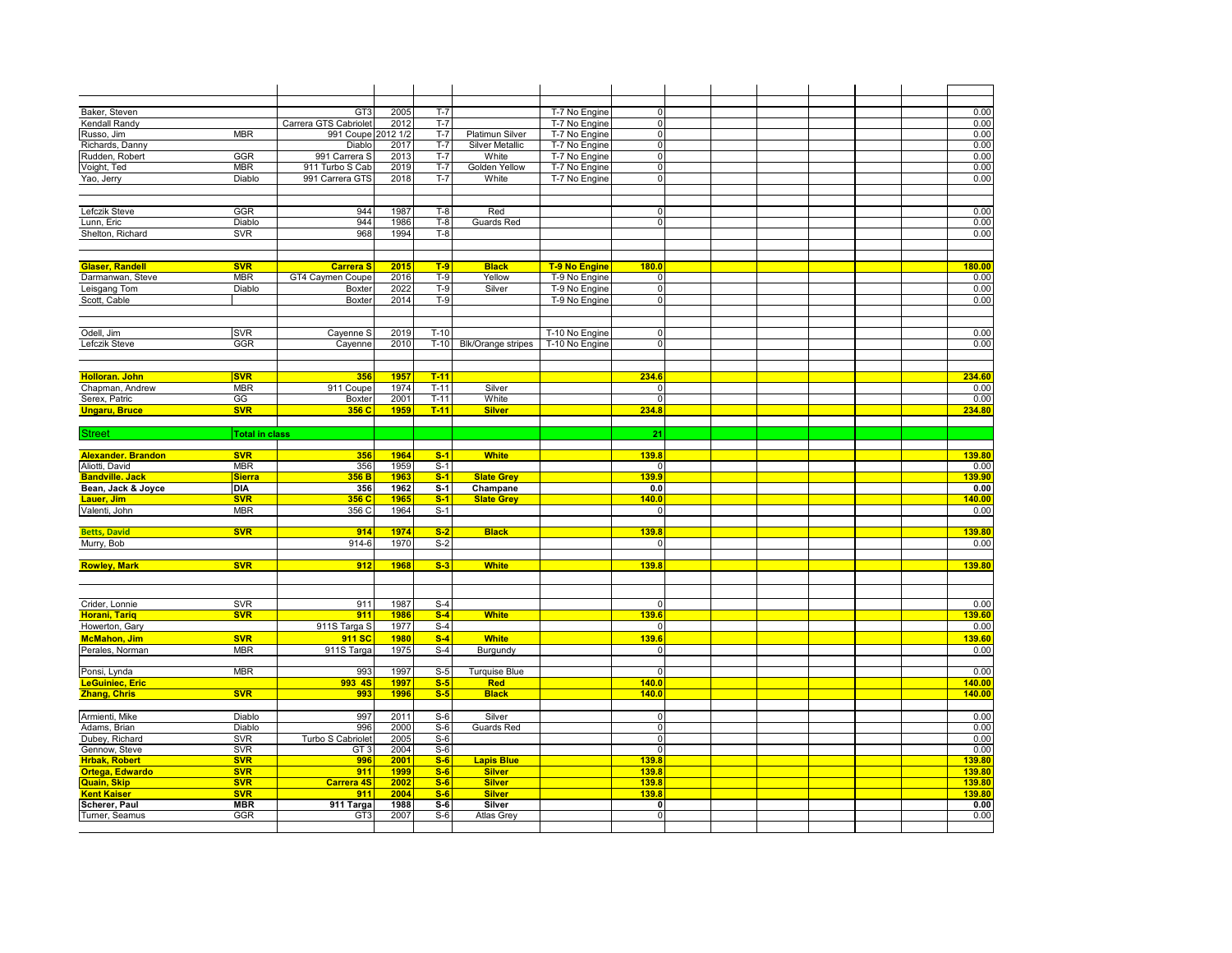|                           |                       | GT <sub>3</sub>       |      |                |                           |                      | $\overline{0}$ |  |  |              |
|---------------------------|-----------------------|-----------------------|------|----------------|---------------------------|----------------------|----------------|--|--|--------------|
| Baker, Steven             |                       |                       | 2005 | $T-7$<br>$T-7$ |                           | T-7 No Engine        |                |  |  | 0.00         |
| Kendall Randy             |                       | Carrera GTS Cabriolet | 2012 |                |                           | T-7 No Engine        | $\mathbf 0$    |  |  | 0.00         |
| Russo, Jim                | <b>MBR</b>            | 991 Coupe 2012 1/2    |      | $T-7$          | <b>Platimun Silver</b>    | T-7 No Engine        | $\overline{0}$ |  |  | 0.00         |
| Richards, Danny           |                       | Diablo                | 2017 | $T-7$          | <b>Silver Metallic</b>    | T-7 No Engine        | $\overline{0}$ |  |  | 0.00         |
| Rudden, Robert            | GGR                   | 991 Carrera S         | 2013 | $T-7$          | White                     | T-7 No Engine        | 0              |  |  | 0.00         |
| Voight, Ted               | <b>MBR</b>            | 911 Turbo S Cab       | 2019 | $T-7$          | Golden Yellow             | T-7 No Engine        | $\overline{0}$ |  |  | 0.00         |
| Yao, Jerry                | Diablo                | 991 Carrera GTS       | 2018 | $T-7$          | White                     | T-7 No Engine        | $\mathbf 0$    |  |  | 0.00         |
|                           |                       |                       |      |                |                           |                      |                |  |  |              |
|                           |                       |                       |      |                |                           |                      |                |  |  |              |
| Lefczik Steve             | GGR                   | 944                   | 1987 | $T-8$          | Red                       |                      | $\Omega$       |  |  | 0.00         |
| Lunn, Eric                | Diablo                | 944                   | 1986 | $T-8$          | <b>Guards Red</b>         |                      | $\overline{0}$ |  |  | 0.00         |
| Shelton, Richard          | <b>SVR</b>            | 968                   | 1994 | $T-8$          |                           |                      |                |  |  | 0.00         |
|                           |                       |                       |      |                |                           |                      |                |  |  |              |
|                           |                       |                       |      |                |                           |                      |                |  |  |              |
| <b>Glaser, Randell</b>    | <b>SVR</b>            | <b>Carrera</b> S      | 2015 | $T-9$          | <b>Black</b>              | <b>T-9 No Engine</b> | 180.0          |  |  | 180.00       |
| Darmanwan, Steve          | <b>MBR</b>            | GT4 Caymen Coupe      | 2016 | $T-9$          | Yellow                    | T-9 No Engine        | $\mathbf 0$    |  |  | 0.00         |
| Leisgang Tom              | Diablo                | Boxte                 | 2022 | $T-9$          | Silver                    | T-9 No Engine        | $\mathbf 0$    |  |  | 0.00         |
| Scott, Cable              |                       | Boxter                | 2014 | $T-9$          |                           | T-9 No Engine        | $\overline{0}$ |  |  | 0.00         |
|                           |                       |                       |      |                |                           |                      |                |  |  |              |
|                           |                       |                       |      |                |                           |                      |                |  |  |              |
|                           |                       |                       | 2019 | $T-10$         |                           |                      | $\mathbf 0$    |  |  |              |
| Odell, Jim                | <b>SVR</b><br>GGR     | Cayenne S             |      | $T-10$         |                           | T-10 No Engine       | $\overline{0}$ |  |  | 0.00<br>0.00 |
| Lefczik Steve             |                       | Cayenne               | 2010 |                | <b>Blk/Orange stripes</b> | T-10 No Engine       |                |  |  |              |
|                           |                       |                       |      |                |                           |                      |                |  |  |              |
|                           |                       |                       |      |                |                           |                      |                |  |  |              |
| <b>Holloran. John</b>     | <b>SVR</b>            | 356                   | 1957 | $T-11$         |                           |                      | 234.6          |  |  | 234.60       |
| Chapman, Andrew           | <b>MBR</b>            | 911 Coupe             | 1974 | $T-11$         | Silver                    |                      | $\mathbf 0$    |  |  | 0.00         |
| Serex, Patric             | GG                    | Boxter                | 2001 | $T-11$         | White                     |                      | $\mathbf 0$    |  |  | 0.00         |
| <b>Ungaru, Bruce</b>      | <b>SVR</b>            | 356 C                 | 1959 | $T-11$         | <b>Silver</b>             |                      | 234.8          |  |  | 234.80       |
|                           |                       |                       |      |                |                           |                      |                |  |  |              |
| <b>Street</b>             | <b>Total in class</b> |                       |      |                |                           |                      | 21             |  |  |              |
|                           |                       |                       |      |                |                           |                      |                |  |  |              |
| <b>Alexander. Brandon</b> | <b>SVR</b>            | 356                   | 1964 | $S-1$          | <b>White</b>              |                      | 139.8          |  |  | 139.80       |
| Aliotti, David            | <b>MBR</b>            | 356                   | 1959 | $S-1$          |                           |                      | 0              |  |  | 0.00         |
| <b>Bandville</b> . Jack   | <b>Sierra</b>         | 356 B                 | 1963 | $S-1$          | <b>Slate Grey</b>         |                      | 139.9          |  |  | 139.90       |
| Bean, Jack & Joyce        | <b>DIA</b>            | 356                   | 1962 | $S-1$          | Champane                  |                      | 0.0            |  |  | 0.00         |
| Lauer, Jim                | <b>SVR</b>            | 356 C                 | 1965 | $S-1$          | <b>Slate Grey</b>         |                      | 140.0          |  |  | 140.00       |
| Valenti, John             | <b>MBR</b>            | 356 C                 | 1964 | $S-1$          |                           |                      | $\overline{0}$ |  |  | 0.00         |
|                           |                       |                       |      |                |                           |                      |                |  |  |              |
| <b>Betts, David</b>       | <b>SVR</b>            | 914                   | 1974 | $S-2$          | <b>Black</b>              |                      | 139.8          |  |  | 139.80       |
| Murry, Bob                |                       | 914-6                 | 1970 | $S-2$          |                           |                      | $\overline{0}$ |  |  | 0.00         |
|                           |                       |                       |      |                |                           |                      |                |  |  |              |
| <b>Rowley, Mark</b>       | <b>SVR</b>            | 912                   | 1968 | $S-3$          | <b>White</b>              |                      | 139.8          |  |  | 139.80       |
|                           |                       |                       |      |                |                           |                      |                |  |  |              |
|                           |                       |                       |      |                |                           |                      |                |  |  |              |
|                           |                       |                       |      |                |                           |                      |                |  |  |              |
| Crider, Lonnie            | <b>SVR</b>            | 911                   | 1987 | $S-4$          |                           |                      | $\mathbf 0$    |  |  | 0.00         |
| <b>Horani, Tarig</b>      | <b>SVR</b>            | 911                   | 1986 | $S-4$          | <b>White</b>              |                      | 139.6          |  |  | 139.60       |
| Howerton, Gary            |                       | 911S Targa S          | 1977 | $S-4$          |                           |                      | $\overline{0}$ |  |  | 0.00         |
| <b>McMahon, Jim</b>       | <b>SVR</b>            | 911 SC                | 1980 | $S-4$          | <b>White</b>              |                      | 139.6          |  |  | 139.60       |
| Perales, Norman           | <b>MBR</b>            | 911S Targa            | 1975 | $S-4$          | Burgundy                  |                      | $\overline{0}$ |  |  | 0.00         |
|                           |                       |                       |      |                |                           |                      |                |  |  |              |
| Ponsi, Lynda              | <b>MBR</b>            | 993                   | 1997 | $S-5$          | <b>Turquise Blue</b>      |                      | $\mathbf 0$    |  |  | 0.00         |
| LeGuiniec, Eric           |                       | 993 4S                | 1997 | $S-5$          | Red                       |                      | 140.0          |  |  | 140.00       |
|                           |                       |                       |      |                |                           |                      |                |  |  |              |
| <b>Zhang, Chris</b>       | <b>SVR</b>            | 993                   | 1996 | $S-5$          | <b>Black</b>              |                      | 140.0          |  |  | 140.00       |
|                           |                       |                       |      |                |                           |                      |                |  |  |              |
| Armienti, Mike            | Diablo                | 997                   | 2011 | $S-6$          | Silver                    |                      | $\mathbf 0$    |  |  | 0.00         |
| Adams, Brian              | Diablo                | 996                   | 2000 | $S-6$          | Guards Red                |                      | $\overline{0}$ |  |  | 0.00         |
| Dubey, Richard            | <b>SVR</b>            | Turbo S Cabriolet     | 2005 | $S-6$          |                           |                      | 0              |  |  | 0.00         |
| Gennow, Steve             | <b>SVR</b>            | GT <sub>3</sub>       | 2004 | $S-6$          |                           |                      | $\mathbf 0$    |  |  | 0.00         |
| <b>Hrbak, Robert</b>      | <b>SVR</b>            | 996                   | 2001 | $S-6$          | <b>Lapis Blue</b>         |                      | 139.8          |  |  | 139.80       |
| Ortega, Edwardo           | <b>SVR</b>            | 911                   | 1999 | $S-6$          | <b>Silver</b>             |                      | 139.8          |  |  | 139.80       |
| Quain, Skip               | <b>SVR</b>            | <b>Carrera 4S</b>     | 2002 | $S-6$          | <b>Silver</b>             |                      | 139.8          |  |  | 139.80       |
| <b>Kent Kaiser</b>        | <b>SVR</b>            | 911                   | 2004 | $S-6$          | <b>Silver</b>             |                      | 139.8          |  |  | 139.80       |
| Scherer, Paul             | <b>MBR</b>            | 911 Targa             | 1988 | $S-6$          | Silver                    |                      | 0              |  |  | 0.00         |
| Turner, Seamus            | GGR                   | GT3                   | 2007 | $S-6$          | Atlas Grey                |                      | $\overline{0}$ |  |  | 0.00         |
|                           |                       |                       |      |                |                           |                      |                |  |  |              |